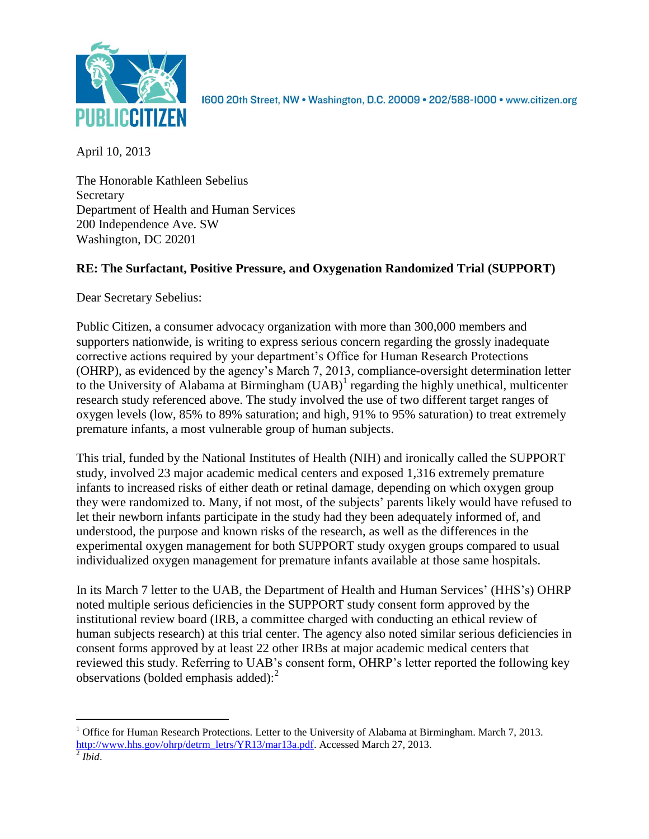

1600 20th Street, NW . Washington, D.C. 20009 . 202/588-1000 . www.citizen.org

April 10, 2013

The Honorable Kathleen Sebelius **Secretary** Department of Health and Human Services 200 Independence Ave. SW Washington, DC 20201

# **RE: The Surfactant, Positive Pressure, and Oxygenation Randomized Trial (SUPPORT)**

Dear Secretary Sebelius:

Public Citizen, a consumer advocacy organization with more than 300,000 members and supporters nationwide, is writing to express serious concern regarding the grossly inadequate corrective actions required by your department's Office for Human Research Protections (OHRP), as evidenced by the agency's March 7, 2013, compliance-oversight determination letter to the University of Alabama at Birmingham  $(UAB)^1$  regarding the highly unethical, multicenter research study referenced above. The study involved the use of two different target ranges of oxygen levels (low, 85% to 89% saturation; and high, 91% to 95% saturation) to treat extremely premature infants, a most vulnerable group of human subjects.

This trial, funded by the National Institutes of Health (NIH) and ironically called the SUPPORT study, involved 23 major academic medical centers and exposed 1,316 extremely premature infants to increased risks of either death or retinal damage, depending on which oxygen group they were randomized to. Many, if not most, of the subjects' parents likely would have refused to let their newborn infants participate in the study had they been adequately informed of, and understood, the purpose and known risks of the research, as well as the differences in the experimental oxygen management for both SUPPORT study oxygen groups compared to usual individualized oxygen management for premature infants available at those same hospitals.

In its March 7 letter to the UAB, the Department of Health and Human Services' (HHS's) OHRP noted multiple serious deficiencies in the SUPPORT study consent form approved by the institutional review board (IRB, a committee charged with conducting an ethical review of human subjects research) at this trial center. The agency also noted similar serious deficiencies in consent forms approved by at least 22 other IRBs at major academic medical centers that reviewed this study. Referring to UAB's consent form, OHRP's letter reported the following key observations (bolded emphasis added): 2

 $\overline{a}$ <sup>1</sup> Office for Human Research Protections. Letter to the University of Alabama at Birmingham. March 7, 2013. [http://www.hhs.gov/ohrp/detrm\\_letrs/YR13/mar13a.pdf.](http://www.hhs.gov/ohrp/detrm_letrs/YR13/mar13a.pdf) Accessed March 27, 2013. 2 *Ibid*.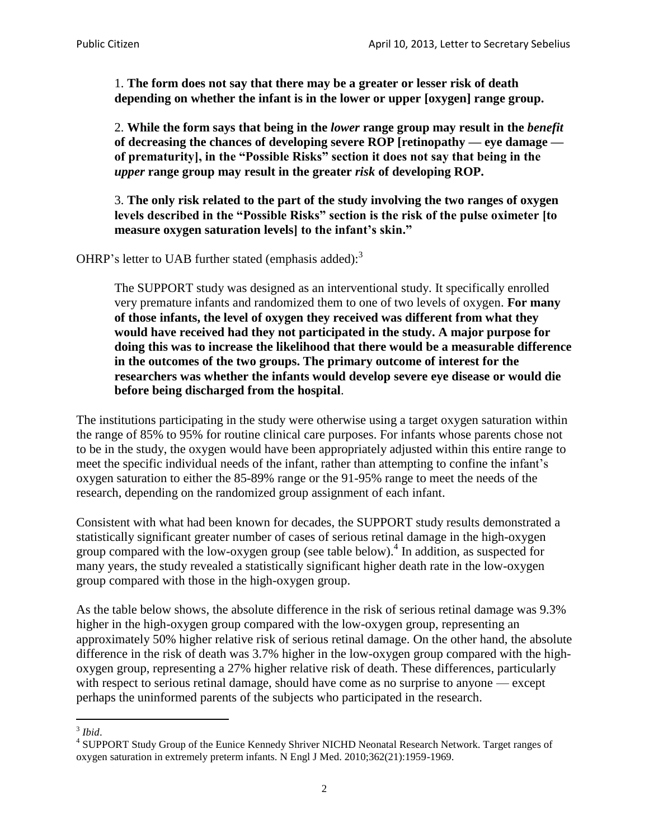1. **The form does not say that there may be a greater or lesser risk of death depending on whether the infant is in the lower or upper [oxygen] range group.**

2. **While the form says that being in the** *lower* **range group may result in the** *benefit*  **of decreasing the chances of developing severe ROP [retinopathy — eye damage of prematurity], in the "Possible Risks" section it does not say that being in the**  *upper* **range group may result in the greater** *risk* **of developing ROP.**

3. **The only risk related to the part of the study involving the two ranges of oxygen levels described in the "Possible Risks" section is the risk of the pulse oximeter [to measure oxygen saturation levels] to the infant's skin."**

OHRP's letter to UAB further stated (emphasis added):<sup>3</sup>

The SUPPORT study was designed as an interventional study. It specifically enrolled very premature infants and randomized them to one of two levels of oxygen. **For many of those infants, the level of oxygen they received was different from what they would have received had they not participated in the study. A major purpose for doing this was to increase the likelihood that there would be a measurable difference in the outcomes of the two groups. The primary outcome of interest for the researchers was whether the infants would develop severe eye disease or would die before being discharged from the hospital**.

The institutions participating in the study were otherwise using a target oxygen saturation within the range of 85% to 95% for routine clinical care purposes. For infants whose parents chose not to be in the study, the oxygen would have been appropriately adjusted within this entire range to meet the specific individual needs of the infant, rather than attempting to confine the infant's oxygen saturation to either the 85-89% range or the 91-95% range to meet the needs of the research, depending on the randomized group assignment of each infant.

Consistent with what had been known for decades, the SUPPORT study results demonstrated a statistically significant greater number of cases of serious retinal damage in the high-oxygen group compared with the low-oxygen group (see table below).<sup>4</sup> In addition, as suspected for many years, the study revealed a statistically significant higher death rate in the low-oxygen group compared with those in the high-oxygen group.

As the table below shows, the absolute difference in the risk of serious retinal damage was 9.3% higher in the high-oxygen group compared with the low-oxygen group, representing an approximately 50% higher relative risk of serious retinal damage. On the other hand, the absolute difference in the risk of death was 3.7% higher in the low-oxygen group compared with the highoxygen group, representing a 27% higher relative risk of death. These differences, particularly with respect to serious retinal damage, should have come as no surprise to anyone — except perhaps the uninformed parents of the subjects who participated in the research.

 $\overline{a}$ 3 *Ibid*.

<sup>&</sup>lt;sup>4</sup> SUPPORT Study Group of the Eunice Kennedy Shriver NICHD Neonatal Research Network. Target ranges of oxygen saturation in extremely preterm infants. N Engl J Med. 2010;362(21):1959-1969.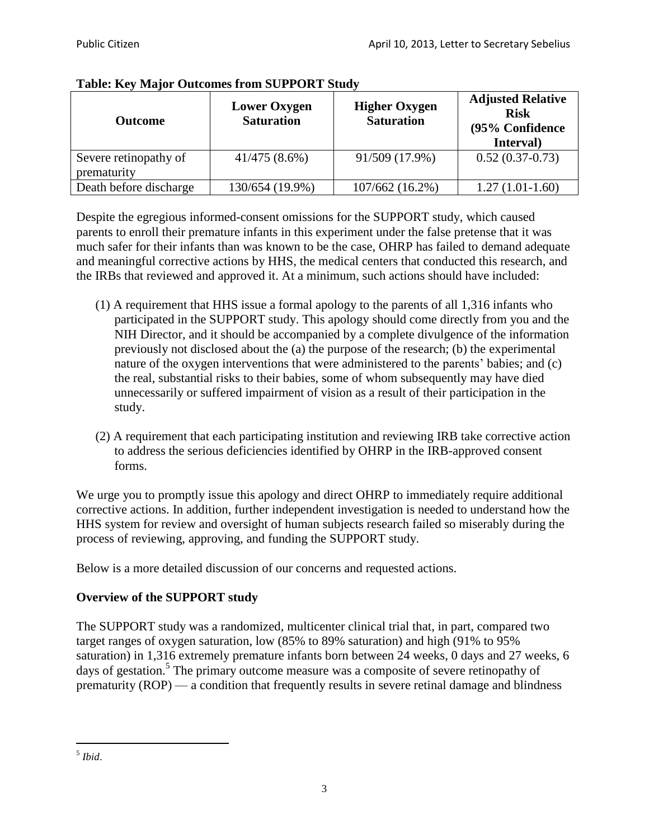| <b>Outcome</b>                       | <b>Lower Oxygen</b><br><b>Saturation</b> | <b>Higher Oxygen</b><br><b>Saturation</b> | <b>Adjusted Relative</b><br><b>Risk</b><br>(95% Confidence<br>Interval) |
|--------------------------------------|------------------------------------------|-------------------------------------------|-------------------------------------------------------------------------|
| Severe retinopathy of<br>prematurity | $41/475(8.6\%)$                          | 91/509 (17.9%)                            | $0.52(0.37-0.73)$                                                       |
| Death before discharge               | 130/654 (19.9%)                          | 107/662 (16.2%)                           | $1.27(1.01-1.60)$                                                       |

## **Table: Key Major Outcomes from SUPPORT Study**

Despite the egregious informed-consent omissions for the SUPPORT study, which caused parents to enroll their premature infants in this experiment under the false pretense that it was much safer for their infants than was known to be the case, OHRP has failed to demand adequate and meaningful corrective actions by HHS, the medical centers that conducted this research, and the IRBs that reviewed and approved it. At a minimum, such actions should have included:

- (1) A requirement that HHS issue a formal apology to the parents of all 1,316 infants who participated in the SUPPORT study. This apology should come directly from you and the NIH Director, and it should be accompanied by a complete divulgence of the information previously not disclosed about the (a) the purpose of the research; (b) the experimental nature of the oxygen interventions that were administered to the parents' babies; and (c) the real, substantial risks to their babies, some of whom subsequently may have died unnecessarily or suffered impairment of vision as a result of their participation in the study.
- (2) A requirement that each participating institution and reviewing IRB take corrective action to address the serious deficiencies identified by OHRP in the IRB-approved consent forms.

We urge you to promptly issue this apology and direct OHRP to immediately require additional corrective actions. In addition, further independent investigation is needed to understand how the HHS system for review and oversight of human subjects research failed so miserably during the process of reviewing, approving, and funding the SUPPORT study.

Below is a more detailed discussion of our concerns and requested actions.

## **Overview of the SUPPORT study**

The SUPPORT study was a randomized, multicenter clinical trial that, in part, compared two target ranges of oxygen saturation, low (85% to 89% saturation) and high (91% to 95% saturation) in 1,316 extremely premature infants born between 24 weeks, 0 days and 27 weeks, 6 days of gestation.<sup>5</sup> The primary outcome measure was a composite of severe retinopathy of prematurity (ROP) — a condition that frequently results in severe retinal damage and blindness

 $\overline{a}$ 5 *Ibid*.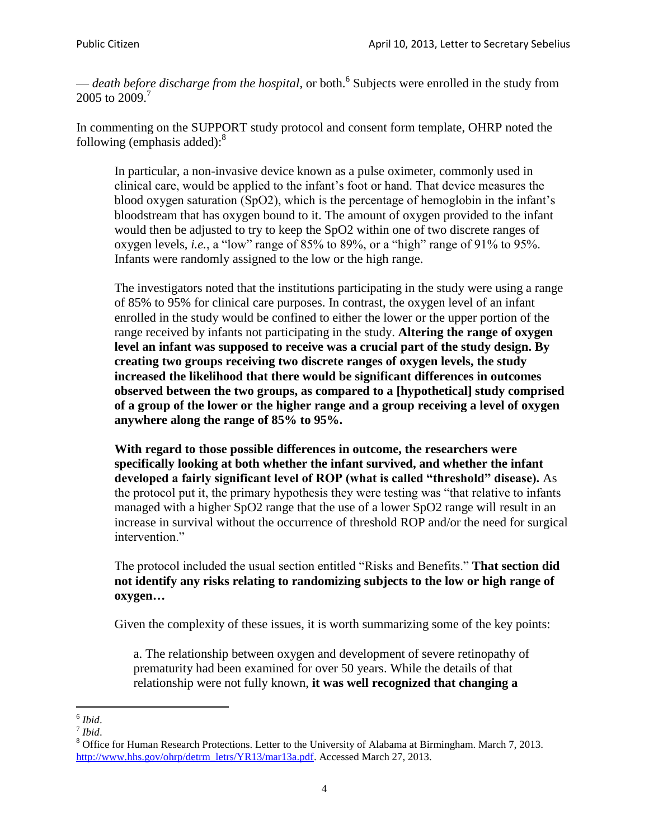— *death before discharge from the hospital*, or both.<sup>6</sup> Subjects were enrolled in the study from 2005 to 2009.<sup>7</sup>

In commenting on the SUPPORT study protocol and consent form template, OHRP noted the following (emphasis added):<sup>8</sup>

In particular, a non-invasive device known as a pulse oximeter, commonly used in clinical care, would be applied to the infant's foot or hand. That device measures the blood oxygen saturation (SpO2), which is the percentage of hemoglobin in the infant's bloodstream that has oxygen bound to it. The amount of oxygen provided to the infant would then be adjusted to try to keep the SpO2 within one of two discrete ranges of oxygen levels, *i.e.*, a "low" range of 85% to 89%, or a "high" range of 91% to 95%. Infants were randomly assigned to the low or the high range.

The investigators noted that the institutions participating in the study were using a range of 85% to 95% for clinical care purposes. In contrast, the oxygen level of an infant enrolled in the study would be confined to either the lower or the upper portion of the range received by infants not participating in the study. **Altering the range of oxygen level an infant was supposed to receive was a crucial part of the study design. By creating two groups receiving two discrete ranges of oxygen levels, the study increased the likelihood that there would be significant differences in outcomes observed between the two groups, as compared to a [hypothetical] study comprised of a group of the lower or the higher range and a group receiving a level of oxygen anywhere along the range of 85% to 95%.**

**With regard to those possible differences in outcome, the researchers were specifically looking at both whether the infant survived, and whether the infant developed a fairly significant level of ROP (what is called "threshold" disease).** As the protocol put it, the primary hypothesis they were testing was "that relative to infants managed with a higher SpO2 range that the use of a lower SpO2 range will result in an increase in survival without the occurrence of threshold ROP and/or the need for surgical intervention."

The protocol included the usual section entitled "Risks and Benefits." **That section did not identify any risks relating to randomizing subjects to the low or high range of oxygen…**

Given the complexity of these issues, it is worth summarizing some of the key points:

a. The relationship between oxygen and development of severe retinopathy of prematurity had been examined for over 50 years. While the details of that relationship were not fully known, **it was well recognized that changing a** 

7 *Ibid*.

 $\overline{a}$ 6 *Ibid*.

<sup>8</sup> Office for Human Research Protections. Letter to the University of Alabama at Birmingham. March 7, 2013. [http://www.hhs.gov/ohrp/detrm\\_letrs/YR13/mar13a.pdf.](http://www.hhs.gov/ohrp/detrm_letrs/YR13/mar13a.pdf) Accessed March 27, 2013.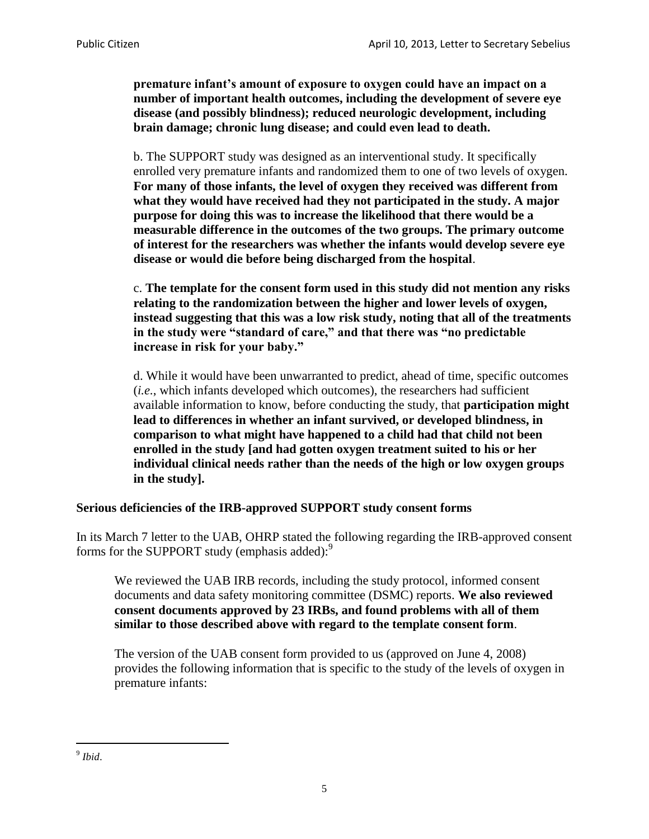**premature infant's amount of exposure to oxygen could have an impact on a number of important health outcomes, including the development of severe eye disease (and possibly blindness); reduced neurologic development, including brain damage; chronic lung disease; and could even lead to death.**

b. The SUPPORT study was designed as an interventional study. It specifically enrolled very premature infants and randomized them to one of two levels of oxygen. **For many of those infants, the level of oxygen they received was different from what they would have received had they not participated in the study. A major purpose for doing this was to increase the likelihood that there would be a measurable difference in the outcomes of the two groups. The primary outcome of interest for the researchers was whether the infants would develop severe eye disease or would die before being discharged from the hospital**.

c. **The template for the consent form used in this study did not mention any risks relating to the randomization between the higher and lower levels of oxygen, instead suggesting that this was a low risk study, noting that all of the treatments in the study were "standard of care," and that there was "no predictable increase in risk for your baby."** 

d. While it would have been unwarranted to predict, ahead of time, specific outcomes (*i.e.*, which infants developed which outcomes), the researchers had sufficient available information to know, before conducting the study, that **participation might lead to differences in whether an infant survived, or developed blindness, in comparison to what might have happened to a child had that child not been enrolled in the study [and had gotten oxygen treatment suited to his or her individual clinical needs rather than the needs of the high or low oxygen groups in the study].**

#### **Serious deficiencies of the IRB-approved SUPPORT study consent forms**

In its March 7 letter to the UAB, OHRP stated the following regarding the IRB-approved consent forms for the SUPPORT study (emphasis added):<sup>9</sup>

We reviewed the UAB IRB records, including the study protocol, informed consent documents and data safety monitoring committee (DSMC) reports. **We also reviewed consent documents approved by 23 IRBs, and found problems with all of them similar to those described above with regard to the template consent form**.

The version of the UAB consent form provided to us (approved on June 4, 2008) provides the following information that is specific to the study of the levels of oxygen in premature infants:

 9 *Ibid*.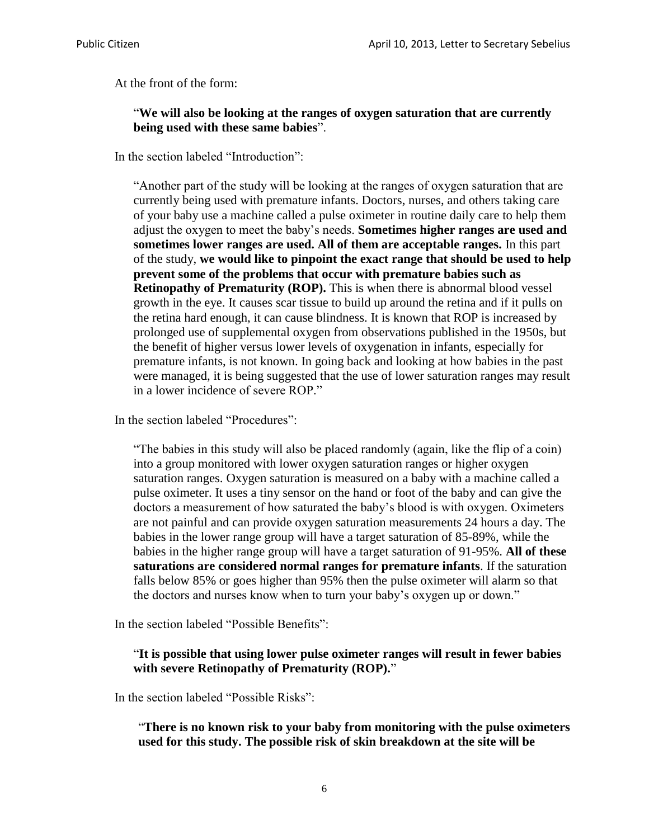At the front of the form:

#### "**We will also be looking at the ranges of oxygen saturation that are currently being used with these same babies**".

In the section labeled "Introduction":

"Another part of the study will be looking at the ranges of oxygen saturation that are currently being used with premature infants. Doctors, nurses, and others taking care of your baby use a machine called a pulse oximeter in routine daily care to help them adjust the oxygen to meet the baby's needs. **Sometimes higher ranges are used and sometimes lower ranges are used. All of them are acceptable ranges.** In this part of the study, **we would like to pinpoint the exact range that should be used to help prevent some of the problems that occur with premature babies such as Retinopathy of Prematurity (ROP).** This is when there is abnormal blood vessel growth in the eye. It causes scar tissue to build up around the retina and if it pulls on the retina hard enough, it can cause blindness. It is known that ROP is increased by prolonged use of supplemental oxygen from observations published in the 1950s, but the benefit of higher versus lower levels of oxygenation in infants, especially for premature infants, is not known. In going back and looking at how babies in the past were managed, it is being suggested that the use of lower saturation ranges may result in a lower incidence of severe ROP."

In the section labeled "Procedures":

"The babies in this study will also be placed randomly (again, like the flip of a coin) into a group monitored with lower oxygen saturation ranges or higher oxygen saturation ranges. Oxygen saturation is measured on a baby with a machine called a pulse oximeter. It uses a tiny sensor on the hand or foot of the baby and can give the doctors a measurement of how saturated the baby's blood is with oxygen. Oximeters are not painful and can provide oxygen saturation measurements 24 hours a day. The babies in the lower range group will have a target saturation of 85-89%, while the babies in the higher range group will have a target saturation of 91-95%. **All of these saturations are considered normal ranges for premature infants**. If the saturation falls below 85% or goes higher than 95% then the pulse oximeter will alarm so that the doctors and nurses know when to turn your baby's oxygen up or down."

In the section labeled "Possible Benefits":

#### "**It is possible that using lower pulse oximeter ranges will result in fewer babies with severe Retinopathy of Prematurity (ROP).**"

In the section labeled "Possible Risks":

"**There is no known risk to your baby from monitoring with the pulse oximeters used for this study. The possible risk of skin breakdown at the site will be**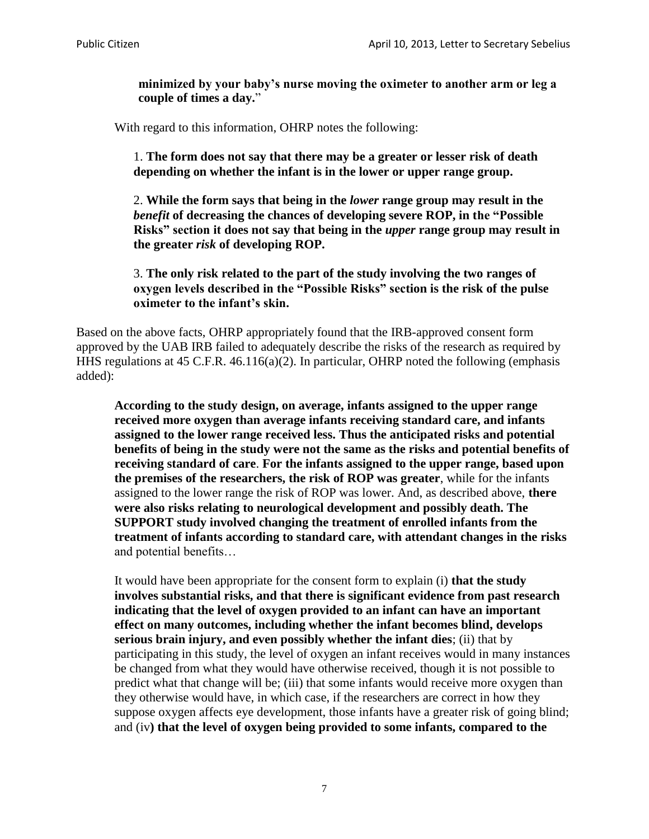**minimized by your baby's nurse moving the oximeter to another arm or leg a couple of times a day.**"

With regard to this information, OHRP notes the following:

1. **The form does not say that there may be a greater or lesser risk of death depending on whether the infant is in the lower or upper range group.**

2. **While the form says that being in the** *lower* **range group may result in the**  *benefit* **of decreasing the chances of developing severe ROP, in the "Possible Risks" section it does not say that being in the** *upper* **range group may result in the greater** *risk* **of developing ROP.**

3. **The only risk related to the part of the study involving the two ranges of oxygen levels described in the "Possible Risks" section is the risk of the pulse oximeter to the infant's skin.**

Based on the above facts, OHRP appropriately found that the IRB-approved consent form approved by the UAB IRB failed to adequately describe the risks of the research as required by HHS regulations at 45 C.F.R. 46.116(a)(2). In particular, OHRP noted the following (emphasis added):

**According to the study design, on average, infants assigned to the upper range received more oxygen than average infants receiving standard care, and infants assigned to the lower range received less. Thus the anticipated risks and potential benefits of being in the study were not the same as the risks and potential benefits of receiving standard of care**. **For the infants assigned to the upper range, based upon the premises of the researchers, the risk of ROP was greater**, while for the infants assigned to the lower range the risk of ROP was lower. And, as described above, **there were also risks relating to neurological development and possibly death. The SUPPORT study involved changing the treatment of enrolled infants from the treatment of infants according to standard care, with attendant changes in the risks** and potential benefits…

It would have been appropriate for the consent form to explain (i) **that the study involves substantial risks, and that there is significant evidence from past research indicating that the level of oxygen provided to an infant can have an important effect on many outcomes, including whether the infant becomes blind, develops serious brain injury, and even possibly whether the infant dies**; (ii) that by participating in this study, the level of oxygen an infant receives would in many instances be changed from what they would have otherwise received, though it is not possible to predict what that change will be; (iii) that some infants would receive more oxygen than they otherwise would have, in which case, if the researchers are correct in how they suppose oxygen affects eye development, those infants have a greater risk of going blind; and (iv**) that the level of oxygen being provided to some infants, compared to the**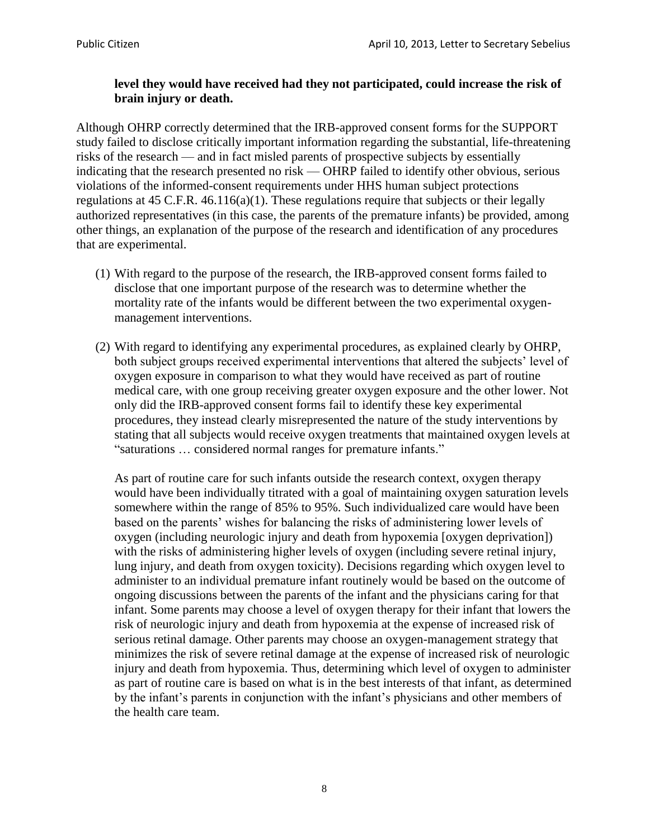### **level they would have received had they not participated, could increase the risk of brain injury or death.**

Although OHRP correctly determined that the IRB-approved consent forms for the SUPPORT study failed to disclose critically important information regarding the substantial, life-threatening risks of the research — and in fact misled parents of prospective subjects by essentially indicating that the research presented no risk — OHRP failed to identify other obvious, serious violations of the informed-consent requirements under HHS human subject protections regulations at 45 C.F.R.  $46.116(a)(1)$ . These regulations require that subjects or their legally authorized representatives (in this case, the parents of the premature infants) be provided, among other things, an explanation of the purpose of the research and identification of any procedures that are experimental.

- (1) With regard to the purpose of the research, the IRB-approved consent forms failed to disclose that one important purpose of the research was to determine whether the mortality rate of the infants would be different between the two experimental oxygenmanagement interventions.
- (2) With regard to identifying any experimental procedures, as explained clearly by OHRP, both subject groups received experimental interventions that altered the subjects' level of oxygen exposure in comparison to what they would have received as part of routine medical care, with one group receiving greater oxygen exposure and the other lower. Not only did the IRB-approved consent forms fail to identify these key experimental procedures, they instead clearly misrepresented the nature of the study interventions by stating that all subjects would receive oxygen treatments that maintained oxygen levels at "saturations … considered normal ranges for premature infants."

As part of routine care for such infants outside the research context, oxygen therapy would have been individually titrated with a goal of maintaining oxygen saturation levels somewhere within the range of 85% to 95%. Such individualized care would have been based on the parents' wishes for balancing the risks of administering lower levels of oxygen (including neurologic injury and death from hypoxemia [oxygen deprivation]) with the risks of administering higher levels of oxygen (including severe retinal injury, lung injury, and death from oxygen toxicity). Decisions regarding which oxygen level to administer to an individual premature infant routinely would be based on the outcome of ongoing discussions between the parents of the infant and the physicians caring for that infant. Some parents may choose a level of oxygen therapy for their infant that lowers the risk of neurologic injury and death from hypoxemia at the expense of increased risk of serious retinal damage. Other parents may choose an oxygen-management strategy that minimizes the risk of severe retinal damage at the expense of increased risk of neurologic injury and death from hypoxemia. Thus, determining which level of oxygen to administer as part of routine care is based on what is in the best interests of that infant, as determined by the infant's parents in conjunction with the infant's physicians and other members of the health care team.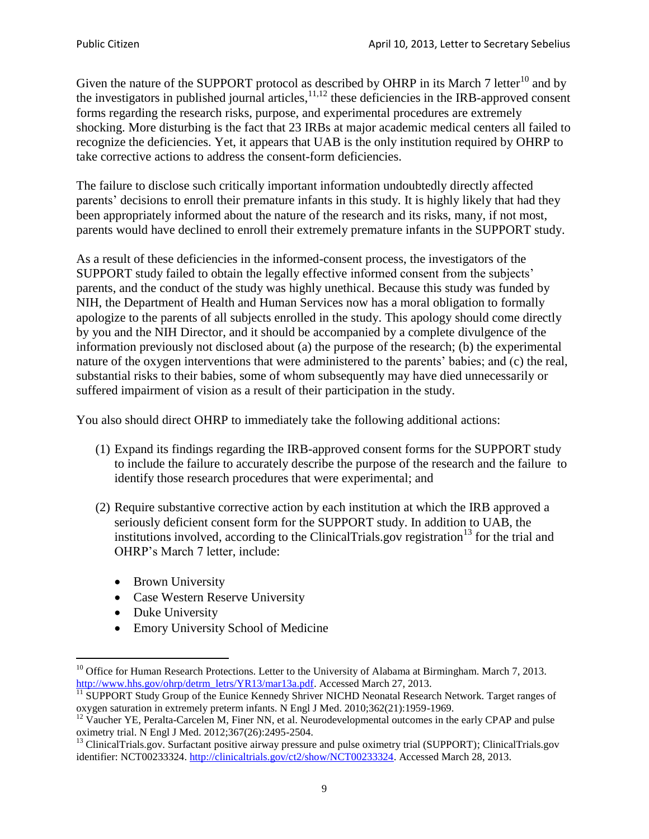Given the nature of the SUPPORT protocol as described by OHRP in its March 7 letter<sup>10</sup> and by the investigators in published journal articles,  $11,12$  these deficiencies in the IRB-approved consent forms regarding the research risks, purpose, and experimental procedures are extremely shocking. More disturbing is the fact that 23 IRBs at major academic medical centers all failed to recognize the deficiencies. Yet, it appears that UAB is the only institution required by OHRP to take corrective actions to address the consent-form deficiencies.

The failure to disclose such critically important information undoubtedly directly affected parents' decisions to enroll their premature infants in this study. It is highly likely that had they been appropriately informed about the nature of the research and its risks, many, if not most, parents would have declined to enroll their extremely premature infants in the SUPPORT study.

As a result of these deficiencies in the informed-consent process, the investigators of the SUPPORT study failed to obtain the legally effective informed consent from the subjects' parents, and the conduct of the study was highly unethical. Because this study was funded by NIH, the Department of Health and Human Services now has a moral obligation to formally apologize to the parents of all subjects enrolled in the study. This apology should come directly by you and the NIH Director, and it should be accompanied by a complete divulgence of the information previously not disclosed about (a) the purpose of the research; (b) the experimental nature of the oxygen interventions that were administered to the parents' babies; and (c) the real, substantial risks to their babies, some of whom subsequently may have died unnecessarily or suffered impairment of vision as a result of their participation in the study.

You also should direct OHRP to immediately take the following additional actions:

- (1) Expand its findings regarding the IRB-approved consent forms for the SUPPORT study to include the failure to accurately describe the purpose of the research and the failure to identify those research procedures that were experimental; and
- (2) Require substantive corrective action by each institution at which the IRB approved a seriously deficient consent form for the SUPPORT study. In addition to UAB, the institutions involved, according to the ClinicalTrials.gov registration<sup>13</sup> for the trial and OHRP's March 7 letter, include:
	- Brown University
	- Case Western Reserve University
	- Duke University
	- Emory University School of Medicine

 $\ddot{\phantom{a}}$  $10$  Office for Human Research Protections. Letter to the University of Alabama at Birmingham. March 7, 2013. [http://www.hhs.gov/ohrp/detrm\\_letrs/YR13/mar13a.pdf.](http://www.hhs.gov/ohrp/detrm_letrs/YR13/mar13a.pdf) Accessed March 27, 2013.

 $\frac{11}{11}$  SUPPORT Study Group of the Eunice Kennedy Shriver NICHD Neonatal Research Network. Target ranges of oxygen saturation in extremely preterm infants. N Engl J Med. 2010;362(21):1959-1969.

 $12$  Vaucher YE, Peralta-Carcelen M, Finer NN, et al. Neurodevelopmental outcomes in the early CPAP and pulse oximetry trial. N Engl J Med. 2012;367(26):2495-2504.

<sup>&</sup>lt;sup>13</sup> ClinicalTrials.gov. Surfactant positive airway pressure and pulse oximetry trial (SUPPORT); ClinicalTrials.gov identifier: NCT00233324. [http://clinicaltrials.gov/ct2/show/NCT00233324.](http://clinicaltrials.gov/ct2/show/NCT00233324) Accessed March 28, 2013.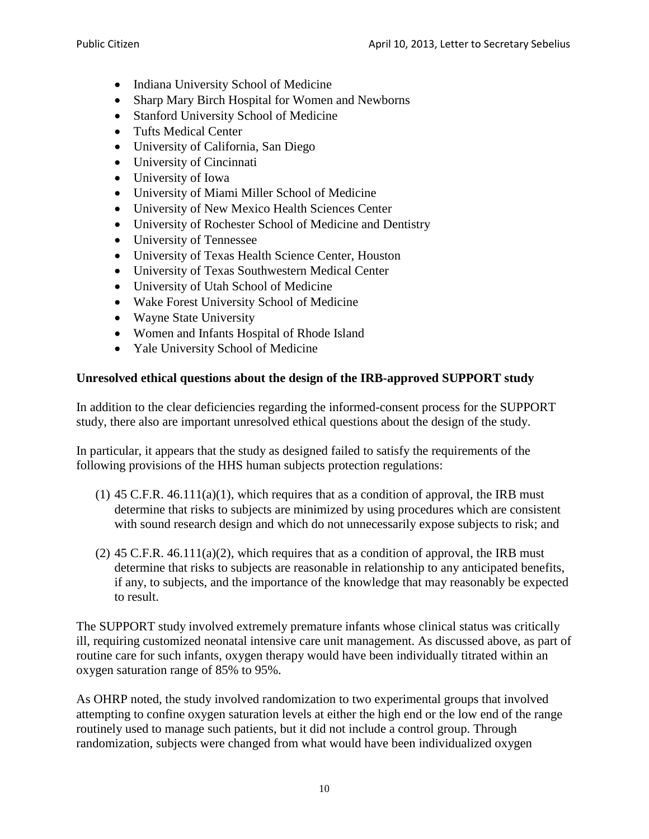- Indiana University School of Medicine
- Sharp Mary Birch Hospital for Women and Newborns
- Stanford University School of Medicine
- Tufts Medical Center
- University of California, San Diego
- University of Cincinnati
- University of Iowa
- University of Miami Miller School of Medicine
- University of New Mexico Health Sciences Center
- University of Rochester School of Medicine and Dentistry
- University of Tennessee
- University of Texas Health Science Center, Houston
- University of Texas Southwestern Medical Center
- University of Utah School of Medicine
- Wake Forest University School of Medicine
- Wayne State University
- Women and Infants Hospital of Rhode Island
- Yale University School of Medicine

### **Unresolved ethical questions about the design of the IRB-approved SUPPORT study**

In addition to the clear deficiencies regarding the informed-consent process for the SUPPORT study, there also are important unresolved ethical questions about the design of the study.

In particular, it appears that the study as designed failed to satisfy the requirements of the following provisions of the HHS human subjects protection regulations:

- $(1)$  45 C.F.R. 46.111 $(a)(1)$ , which requires that as a condition of approval, the IRB must determine that risks to subjects are minimized by using procedures which are consistent with sound research design and which do not unnecessarily expose subjects to risk; and
- $(2)$  45 C.F.R. 46.111(a)(2), which requires that as a condition of approval, the IRB must determine that risks to subjects are reasonable in relationship to any anticipated benefits, if any, to subjects, and the importance of the knowledge that may reasonably be expected to result.

The SUPPORT study involved extremely premature infants whose clinical status was critically ill, requiring customized neonatal intensive care unit management. As discussed above, as part of routine care for such infants, oxygen therapy would have been individually titrated within an oxygen saturation range of 85% to 95%.

As OHRP noted, the study involved randomization to two experimental groups that involved attempting to confine oxygen saturation levels at either the high end or the low end of the range routinely used to manage such patients, but it did not include a control group. Through randomization, subjects were changed from what would have been individualized oxygen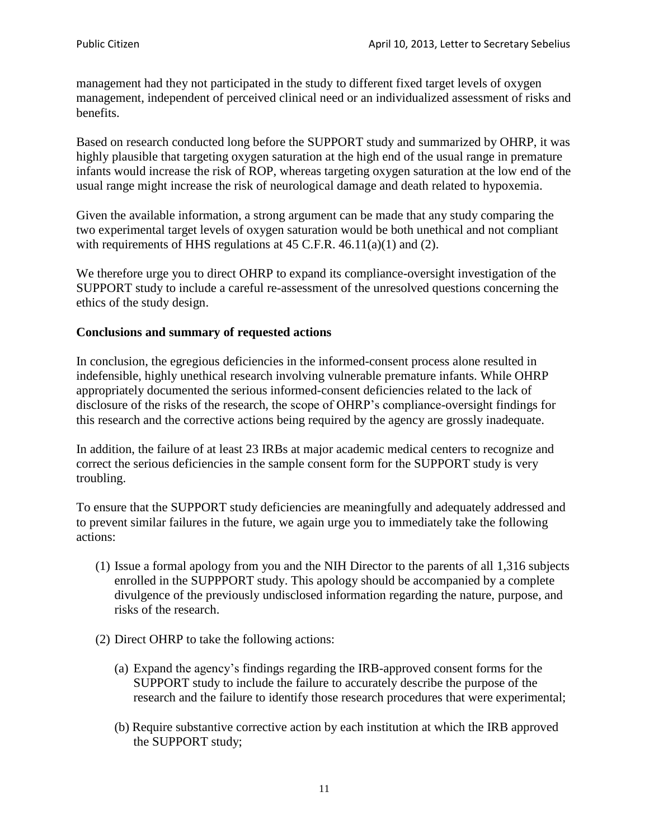management had they not participated in the study to different fixed target levels of oxygen management, independent of perceived clinical need or an individualized assessment of risks and benefits.

Based on research conducted long before the SUPPORT study and summarized by OHRP, it was highly plausible that targeting oxygen saturation at the high end of the usual range in premature infants would increase the risk of ROP, whereas targeting oxygen saturation at the low end of the usual range might increase the risk of neurological damage and death related to hypoxemia.

Given the available information, a strong argument can be made that any study comparing the two experimental target levels of oxygen saturation would be both unethical and not compliant with requirements of HHS regulations at 45 C.F.R. 46.11(a)(1) and (2).

We therefore urge you to direct OHRP to expand its compliance-oversight investigation of the SUPPORT study to include a careful re-assessment of the unresolved questions concerning the ethics of the study design.

#### **Conclusions and summary of requested actions**

In conclusion, the egregious deficiencies in the informed-consent process alone resulted in indefensible, highly unethical research involving vulnerable premature infants. While OHRP appropriately documented the serious informed-consent deficiencies related to the lack of disclosure of the risks of the research, the scope of OHRP's compliance-oversight findings for this research and the corrective actions being required by the agency are grossly inadequate.

In addition, the failure of at least 23 IRBs at major academic medical centers to recognize and correct the serious deficiencies in the sample consent form for the SUPPORT study is very troubling.

To ensure that the SUPPORT study deficiencies are meaningfully and adequately addressed and to prevent similar failures in the future, we again urge you to immediately take the following actions:

- (1) Issue a formal apology from you and the NIH Director to the parents of all 1,316 subjects enrolled in the SUPPPORT study. This apology should be accompanied by a complete divulgence of the previously undisclosed information regarding the nature, purpose, and risks of the research.
- (2) Direct OHRP to take the following actions:
	- (a) Expand the agency's findings regarding the IRB-approved consent forms for the SUPPORT study to include the failure to accurately describe the purpose of the research and the failure to identify those research procedures that were experimental;
	- (b) Require substantive corrective action by each institution at which the IRB approved the SUPPORT study;